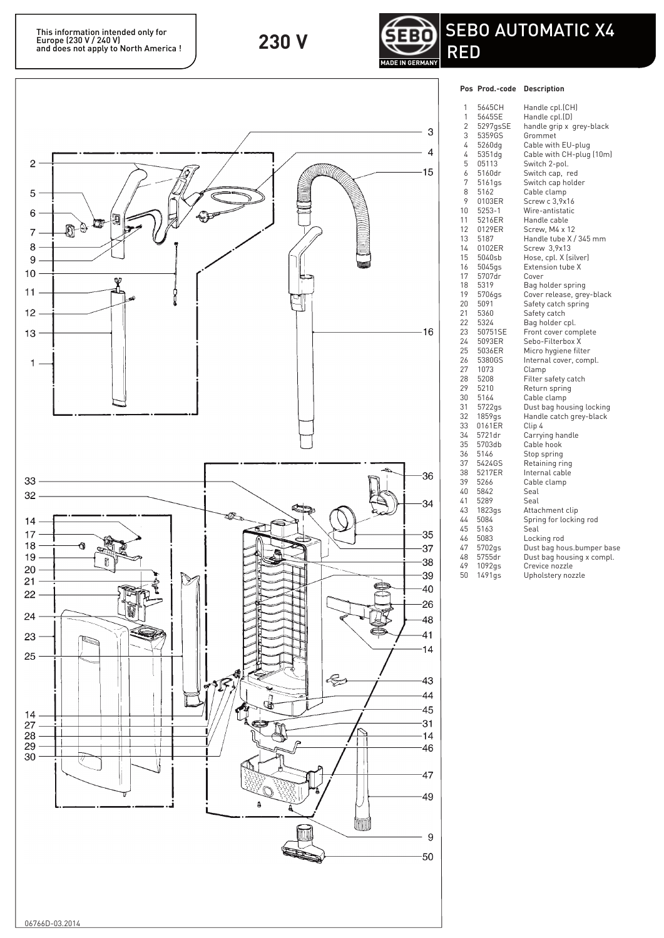

## **Pos Prod.-code Description**



| 1              | 5645CH   | Handle cpl.(CH)           |
|----------------|----------|---------------------------|
| 1              | 5645SE   | Handle cpl.(D)            |
| $\overline{2}$ | 5297gsSE | handle grip x  grey-black |
| 3              | 5359GS   | Grommet                   |
| 4              | 5260dg   | Cable with EU-plug        |
| 4              |          |                           |
|                | 5351dg   | Cable with CH-plug (10m)  |
| 5              | 05113    | Switch 2-pol.             |
| 6              | 5160dr   | Switch cap, red           |
| 7              | 5161gs   | Switch cap holder         |
| 8              | 5162     | Cable clamp               |
| 9              | 0103ER   | Screw c 3,9x16            |
| 10             | 5253-1   | Wire-antistatic           |
| 11             | 5216ER   | Handle cable              |
| 12             | 0129ER   | Screw, M4 x 12            |
| 13             | 5187     | Handle tube X / 345 mm    |
| 14             | 0102ER   | Screw 3,9x13              |
| 15             | 5040sb   | Hose, cpl. X (silver)     |
| 16             | 5045gs   | Extension tube X          |
| 17             | 5707dr   | Cover                     |
| 18             | 5319     | Bag holder spring         |
| 19             | 5706gs   | Cover release, grey-black |
| 20             | 5091     | Safety catch spring       |
| 21             | 5360     | Safety catch              |
| 22             | 5324     | Bag holder cpl.           |
| 23             | 50751SE  | Front cover complete      |
| 24             | 5093ER   | Sebo-Filterbox X          |
| 25             | 5036ER   | Micro hygiene filter      |
| 26             | 5380GS   | Internal cover, compl.    |
| 27             | 1073     | Clamp                     |
| 28             | 5208     | Filter safety catch       |
| 29             | 5210     | Return spring             |
| 30             | 5164     | Cable clamp               |
| 31             | 5722gs   | Dust bag housing locking  |
| 32             | 1859gs   | Handle catch grey-black   |
| 33             | 0161ER   | Clip 4                    |
| 34             | 5721dr   | Carrying handle           |
| 35             | 5703db   | Cable hook                |
| 36             | 5146     | Stop spring               |
| 37             | 5424GS   | Retaining ring            |
| 38             | 5217ER   | Internal cable            |
| 39             | 5266     | Cable clamp               |
| 40             | 5842     | Seal                      |
| 41             | 5289     | Seal                      |
| 43             | 1823gs   | Attachment clip           |
| 44             | 5084     | Spring for locking rod    |
| 45             | 5163     | Seal                      |
| 46             | 5083     | Locking rod               |
| 47             | 5702gs   | Dust bag hous.bumper base |
| 48             | 5755dr   | Dust bag housing x compl. |
| 49             | 1092gs   | Crevice nozzle            |
| 50             | 1491gs   | Upholstery nozzle         |
|                |          |                           |